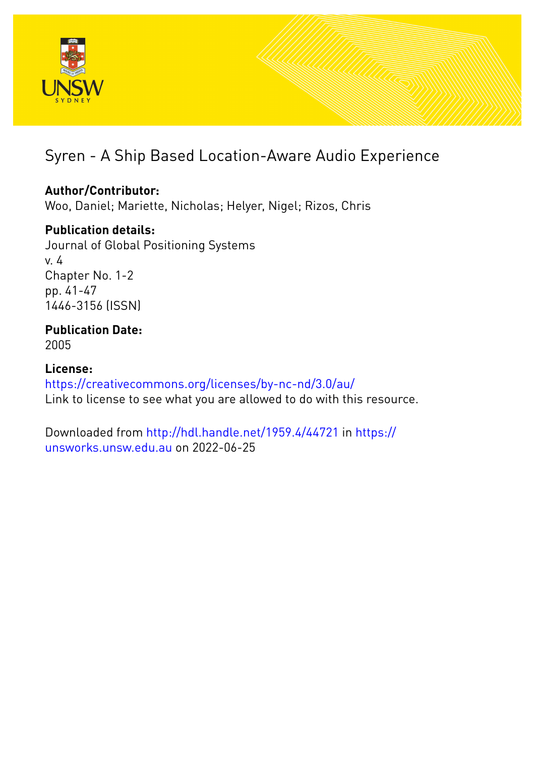

# Syren - A Ship Based Location-Aware Audio Experience

# **Author/Contributor:**

Woo, Daniel; Mariette, Nicholas; Helyer, Nigel; Rizos, Chris

# **Publication details:**

Journal of Global Positioning Systems v. 4 Chapter No. 1-2 pp. 41-47 1446-3156 (ISSN)

# **Publication Date:** 2005

**License:** <https://creativecommons.org/licenses/by-nc-nd/3.0/au/> Link to license to see what you are allowed to do with this resource.

Downloaded from <http://hdl.handle.net/1959.4/44721> in [https://](https://unsworks.unsw.edu.au) [unsworks.unsw.edu.au](https://unsworks.unsw.edu.au) on 2022-06-25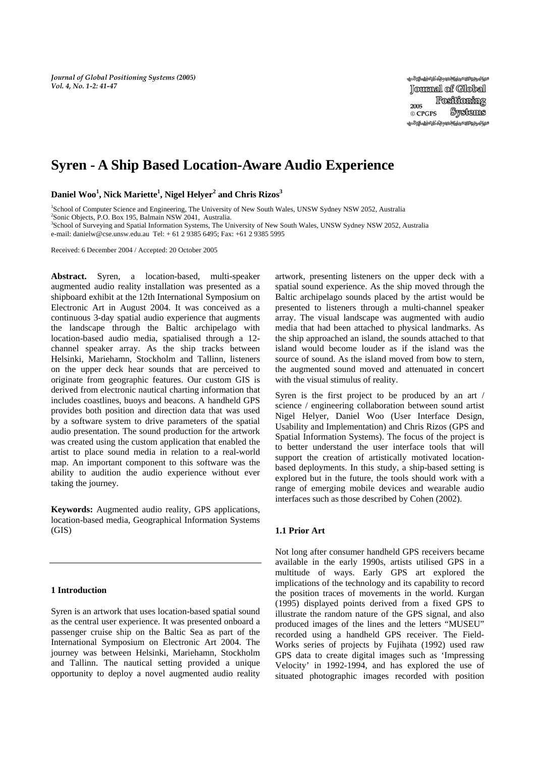*Journal of Global Positioning Systems (2005) Vol. 4, No. 1-2: 41-47*

# **Syren - A Ship Based Location-Aware Audio Experience**

**Daniel Woo<sup>1</sup> , Nick Mariette1 , Nigel Helyer2 and Chris Rizos<sup>3</sup>**

<sup>1</sup>School of Computer Science and Engineering, The University of New South Wales, UNSW Sydney NSW 2052, Australia <sup>2</sup>Sonia Objects, P.O. Box 105, Belmain NSW 2041, Australia

Sonic Objects, P.O. Box 195, Balmain NSW 2041, Australia. 3 School of Surveying and Spatial Information Systems, The University of New South Wales, UNSW Sydney NSW 2052, Australia

e-mail: danielw@cse.unsw.edu.au Tel: + 61 2 9385 6495; Fax: +61 2 9385 5995

Received: 6 December 2004 / Accepted: 20 October 2005

**Abstract.** Syren, a location-based, multi-speaker augmented audio reality installation was presented as a shipboard exhibit at the 12th International Symposium on Electronic Art in August 2004. It was conceived as a continuous 3-day spatial audio experience that augments the landscape through the Baltic archipelago with location-based audio media, spatialised through a 12 channel speaker array. As the ship tracks between Helsinki, Mariehamn, Stockholm and Tallinn, listeners on the upper deck hear sounds that are perceived to originate from geographic features. Our custom GIS is derived from electronic nautical charting information that includes coastlines, buoys and beacons. A handheld GPS provides both position and direction data that was used by a software system to drive parameters of the spatial audio presentation. The sound production for the artwork was created using the custom application that enabled the artist to place sound media in relation to a real-world map. An important component to this software was the ability to audition the audio experience without ever taking the journey.

**Keywords:** Augmented audio reality, GPS applications, location-based media, Geographical Information Systems (GIS)

#### **1 Introduction**

Syren is an artwork that uses location-based spatial sound as the central user experience. It was presented onboard a passenger cruise ship on the Baltic Sea as part of the International Symposium on Electronic Art 2004. The journey was between Helsinki, Mariehamn, Stockholm and Tallinn. The nautical setting provided a unique opportunity to deploy a novel augmented audio reality artwork, presenting listeners on the upper deck with a spatial sound experience. As the ship moved through the Baltic archipelago sounds placed by the artist would be presented to listeners through a multi-channel speaker array. The visual landscape was augmented with audio media that had been attached to physical landmarks. As the ship approached an island, the sounds attached to that island would become louder as if the island was the source of sound. As the island moved from bow to stern, the augmented sound moved and attenuated in concert with the visual stimulus of reality.

Syren is the first project to be produced by an art / science / engineering collaboration between sound artist Nigel Helyer, Daniel Woo (User Interface Design, Usability and Implementation) and Chris Rizos (GPS and Spatial Information Systems). The focus of the project is to better understand the user interface tools that will support the creation of artistically motivated locationbased deployments. In this study, a ship-based setting is explored but in the future, the tools should work with a range of emerging mobile devices and wearable audio interfaces such as those described by Cohen (2002).

# **1.1 Prior Art**

Not long after consumer handheld GPS receivers became available in the early 1990s, artists utilised GPS in a multitude of ways. Early GPS art explored the implications of the technology and its capability to record the position traces of movements in the world. Kurgan (1995) displayed points derived from a fixed GPS to illustrate the random nature of the GPS signal, and also produced images of the lines and the letters "MUSEU" recorded using a handheld GPS receiver. The Field-Works series of projects by Fujihata (1992) used raw GPS data to create digital images such as 'Impressing Velocity' in 1992-1994, and has explored the use of situated photographic images recorded with position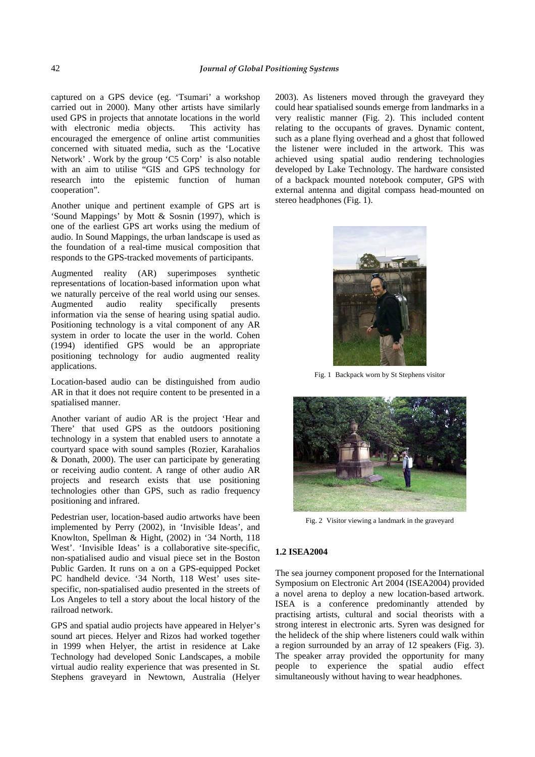captured on a GPS device (eg. 'Tsumari' a workshop carried out in 2000). Many other artists have similarly used GPS in projects that annotate locations in the world with electronic media objects. This activity has encouraged the emergence of online artist communities concerned with situated media, such as the 'Locative Network' . Work by the group 'C5 Corp' is also notable with an aim to utilise "GIS and GPS technology for research into the epistemic function of human cooperation".

Another unique and pertinent example of GPS art is 'Sound Mappings' by Mott & Sosnin (1997), which is one of the earliest GPS art works using the medium of audio. In Sound Mappings, the urban landscape is used as the foundation of a real-time musical composition that responds to the GPS-tracked movements of participants.

Augmented reality (AR) superimposes synthetic representations of location-based information upon what we naturally perceive of the real world using our senses.<br>Augmented audio reality specifically presents Augmented audio reality specifically presents information via the sense of hearing using spatial audio. Positioning technology is a vital component of any AR system in order to locate the user in the world. Cohen (1994) identified GPS would be an appropriate positioning technology for audio augmented reality applications.

Location-based audio can be distinguished from audio AR in that it does not require content to be presented in a spatialised manner.

Another variant of audio AR is the project 'Hear and There' that used GPS as the outdoors positioning technology in a system that enabled users to annotate a courtyard space with sound samples (Rozier, Karahalios & Donath, 2000). The user can participate by generating or receiving audio content. A range of other audio AR projects and research exists that use positioning technologies other than GPS, such as radio frequency positioning and infrared.

Pedestrian user, location-based audio artworks have been implemented by Perry (2002), in 'Invisible Ideas', and Knowlton, Spellman & Hight, (2002) in '34 North, 118 West'. 'Invisible Ideas' is a collaborative site-specific, non-spatialised audio and visual piece set in the Boston Public Garden. It runs on a on a GPS-equipped Pocket PC handheld device. '34 North, 118 West' uses sitespecific, non-spatialised audio presented in the streets of Los Angeles to tell a story about the local history of the railroad network.

GPS and spatial audio projects have appeared in Helyer's sound art pieces. Helyer and Rizos had worked together in 1999 when Helyer, the artist in residence at Lake Technology had developed Sonic Landscapes, a mobile virtual audio reality experience that was presented in St. Stephens graveyard in Newtown, Australia (Helyer 2003). As listeners moved through the graveyard they could hear spatialised sounds emerge from landmarks in a very realistic manner (Fig. 2). This included content relating to the occupants of graves. Dynamic content, such as a plane flying overhead and a ghost that followed the listener were included in the artwork. This was achieved using spatial audio rendering technologies developed by Lake Technology. The hardware consisted of a backpack mounted notebook computer, GPS with external antenna and digital compass head-mounted on stereo headphones (Fig. 1).



Fig. 1 Backpack worn by St Stephens visitor



Fig. 2 Visitor viewing a landmark in the graveyard

### **1.2 ISEA2004**

The sea journey component proposed for the International Symposium on Electronic Art 2004 (ISEA2004) provided a novel arena to deploy a new location-based artwork. ISEA is a conference predominantly attended by practising artists, cultural and social theorists with a strong interest in electronic arts. Syren was designed for the helideck of the ship where listeners could walk within a region surrounded by an array of 12 speakers (Fig. 3). The speaker array provided the opportunity for many people to experience the spatial audio effect simultaneously without having to wear headphones.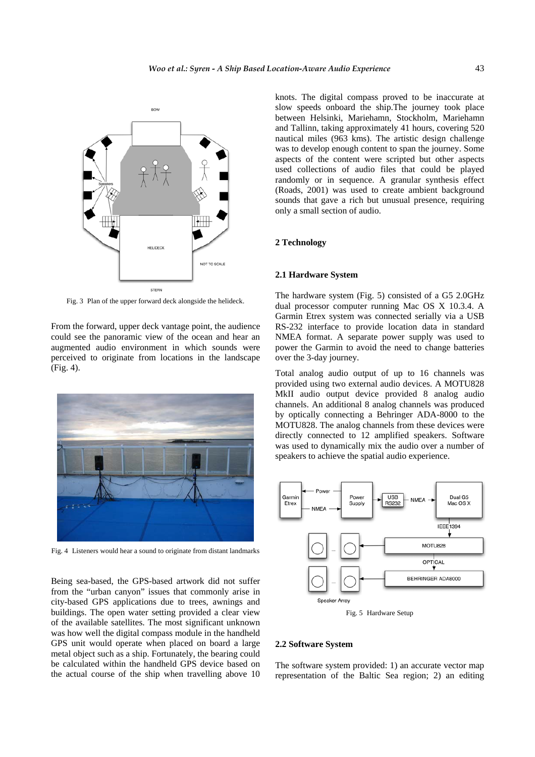

Fig. 3 Plan of the upper forward deck alongside the helideck.

From the forward, upper deck vantage point, the audience could see the panoramic view of the ocean and hear an augmented audio environment in which sounds were perceived to originate from locations in the landscape (Fig. 4).



Fig. 4 Listeners would hear a sound to originate from distant landmarks

Being sea-based, the GPS-based artwork did not suffer from the "urban canyon" issues that commonly arise in city-based GPS applications due to trees, awnings and buildings. The open water setting provided a clear view of the available satellites. The most significant unknown was how well the digital compass module in the handheld GPS unit would operate when placed on board a large metal object such as a ship. Fortunately, the bearing could be calculated within the handheld GPS device based on the actual course of the ship when travelling above 10 knots. The digital compass proved to be inaccurate at slow speeds onboard the ship.The journey took place between Helsinki, Mariehamn, Stockholm, Mariehamn and Tallinn, taking approximately 41 hours, covering 520 nautical miles (963 kms). The artistic design challenge was to develop enough content to span the journey. Some aspects of the content were scripted but other aspects used collections of audio files that could be played randomly or in sequence. A granular synthesis effect (Roads, 2001) was used to create ambient background sounds that gave a rich but unusual presence, requiring only a small section of audio.

# **2 Technology**

### **2.1 Hardware System**

The hardware system (Fig. 5) consisted of a G5 2.0GHz dual processor computer running Mac OS X 10.3.4. A Garmin Etrex system was connected serially via a USB RS-232 interface to provide location data in standard NMEA format. A separate power supply was used to power the Garmin to avoid the need to change batteries over the 3-day journey.

Total analog audio output of up to 16 channels was provided using two external audio devices. A MOTU828 MkII audio output device provided 8 analog audio channels. An additional 8 analog channels was produced by optically connecting a Behringer ADA-8000 to the MOTU828. The analog channels from these devices were directly connected to 12 amplified speakers. Software was used to dynamically mix the audio over a number of speakers to achieve the spatial audio experience.



# **2.2 Software System**

The software system provided: 1) an accurate vector map representation of the Baltic Sea region; 2) an editing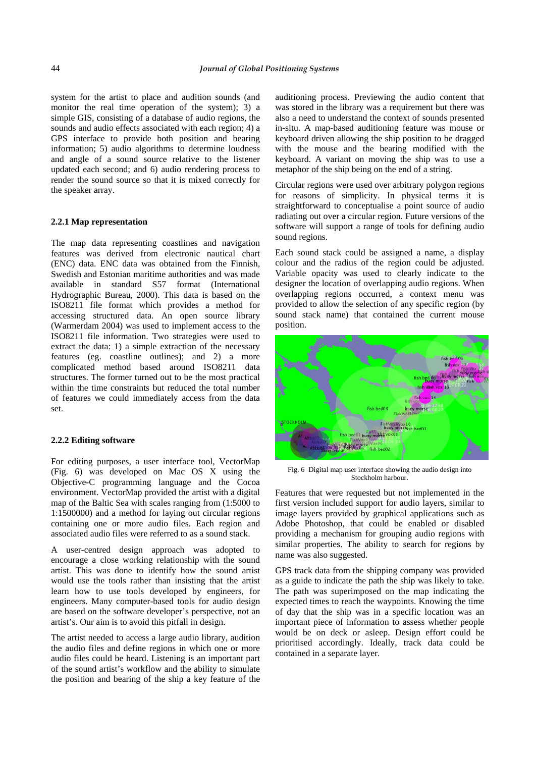system for the artist to place and audition sounds (and monitor the real time operation of the system); 3) a simple GIS, consisting of a database of audio regions, the sounds and audio effects associated with each region; 4) a GPS interface to provide both position and bearing information; 5) audio algorithms to determine loudness and angle of a sound source relative to the listener updated each second; and 6) audio rendering process to render the sound source so that it is mixed correctly for the speaker array.

# **2.2.1 Map representation**

The map data representing coastlines and navigation features was derived from electronic nautical chart (ENC) data. ENC data was obtained from the Finnish, Swedish and Estonian maritime authorities and was made available in standard S57 format (International Hydrographic Bureau, 2000). This data is based on the ISO8211 file format which provides a method for accessing structured data. An open source library (Warmerdam 2004) was used to implement access to the ISO8211 file information. Two strategies were used to extract the data: 1) a simple extraction of the necessary features (eg. coastline outlines); and 2) a more complicated method based around ISO8211 data structures. The former turned out to be the most practical within the time constraints but reduced the total number of features we could immediately access from the data set.

# **2.2.2 Editing software**

For editing purposes, a user interface tool, VectorMap (Fig. 6) was developed on Mac OS X using the Objective-C programming language and the Cocoa environment. VectorMap provided the artist with a digital map of the Baltic Sea with scales ranging from (1:5000 to 1:1500000) and a method for laying out circular regions containing one or more audio files. Each region and associated audio files were referred to as a sound stack.

A user-centred design approach was adopted to encourage a close working relationship with the sound artist. This was done to identify how the sound artist would use the tools rather than insisting that the artist learn how to use tools developed by engineers, for engineers. Many computer-based tools for audio design are based on the software developer's perspective, not an artist's. Our aim is to avoid this pitfall in design.

The artist needed to access a large audio library, audition the audio files and define regions in which one or more audio files could be heard. Listening is an important part of the sound artist's workflow and the ability to simulate the position and bearing of the ship a key feature of the

auditioning process. Previewing the audio content that was stored in the library was a requirement but there was also a need to understand the context of sounds presented in-situ. A map-based auditioning feature was mouse or keyboard driven allowing the ship position to be dragged with the mouse and the bearing modified with the keyboard. A variant on moving the ship was to use a metaphor of the ship being on the end of a string.

Circular regions were used over arbitrary polygon regions for reasons of simplicity. In physical terms it is straightforward to conceptualise a point source of audio radiating out over a circular region. Future versions of the software will support a range of tools for defining audio sound regions.

Each sound stack could be assigned a name, a display colour and the radius of the region could be adjusted. Variable opacity was used to clearly indicate to the designer the location of overlapping audio regions. When overlapping regions occurred, a context menu was provided to allow the selection of any specific region (by sound stack name) that contained the current mouse position.



Fig. 6 Digital map user interface showing the audio design into Stockholm harbour.

Features that were requested but not implemented in the first version included support for audio layers, similar to image layers provided by graphical applications such as Adobe Photoshop, that could be enabled or disabled providing a mechanism for grouping audio regions with similar properties. The ability to search for regions by name was also suggested.

GPS track data from the shipping company was provided as a guide to indicate the path the ship was likely to take. The path was superimposed on the map indicating the expected times to reach the waypoints. Knowing the time of day that the ship was in a specific location was an important piece of information to assess whether people would be on deck or asleep. Design effort could be prioritised accordingly. Ideally, track data could be contained in a separate layer.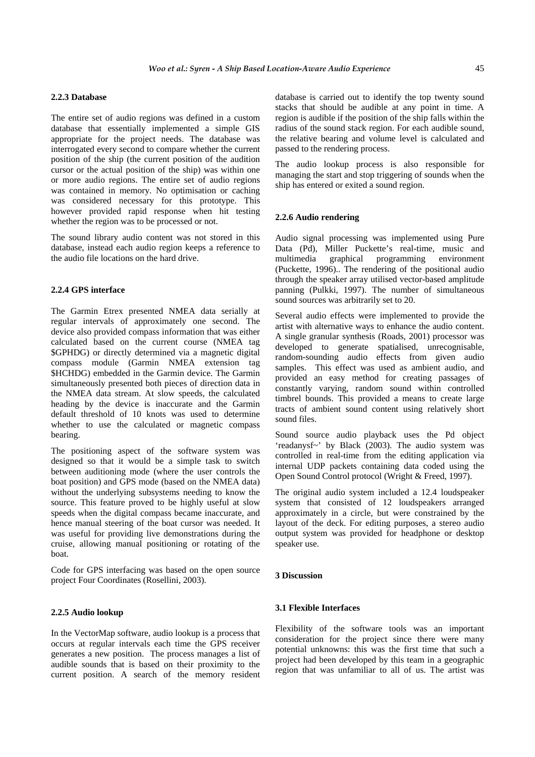# **2.2.3 Database**

The entire set of audio regions was defined in a custom database that essentially implemented a simple GIS appropriate for the project needs. The database was interrogated every second to compare whether the current position of the ship (the current position of the audition cursor or the actual position of the ship) was within one or more audio regions. The entire set of audio regions was contained in memory. No optimisation or caching was considered necessary for this prototype. This however provided rapid response when hit testing whether the region was to be processed or not.

The sound library audio content was not stored in this database, instead each audio region keeps a reference to the audio file locations on the hard drive.

# **2.2.4 GPS interface**

The Garmin Etrex presented NMEA data serially at regular intervals of approximately one second. The device also provided compass information that was either calculated based on the current course (NMEA tag \$GPHDG) or directly determined via a magnetic digital compass module (Garmin NMEA extension tag \$HCHDG) embedded in the Garmin device. The Garmin simultaneously presented both pieces of direction data in the NMEA data stream. At slow speeds, the calculated heading by the device is inaccurate and the Garmin default threshold of 10 knots was used to determine whether to use the calculated or magnetic compass bearing.

The positioning aspect of the software system was designed so that it would be a simple task to switch between auditioning mode (where the user controls the boat position) and GPS mode (based on the NMEA data) without the underlying subsystems needing to know the source. This feature proved to be highly useful at slow speeds when the digital compass became inaccurate, and hence manual steering of the boat cursor was needed. It was useful for providing live demonstrations during the cruise, allowing manual positioning or rotating of the boat.

Code for GPS interfacing was based on the open source project Four Coordinates (Rosellini, 2003).

#### **2.2.5 Audio lookup**

In the VectorMap software, audio lookup is a process that occurs at regular intervals each time the GPS receiver generates a new position. The process manages a list of audible sounds that is based on their proximity to the current position. A search of the memory resident database is carried out to identify the top twenty sound stacks that should be audible at any point in time. A region is audible if the position of the ship falls within the radius of the sound stack region. For each audible sound, the relative bearing and volume level is calculated and passed to the rendering process.

The audio lookup process is also responsible for managing the start and stop triggering of sounds when the ship has entered or exited a sound region.

# **2.2.6 Audio rendering**

Audio signal processing was implemented using Pure Data (Pd), Miller Puckette's real-time, music and multimedia graphical programming environment (Puckette, 1996).. The rendering of the positional audio through the speaker array utilised vector-based amplitude panning (Pulkki, 1997). The number of simultaneous sound sources was arbitrarily set to 20.

Several audio effects were implemented to provide the artist with alternative ways to enhance the audio content. A single granular synthesis (Roads, 2001) processor was developed to generate spatialised, unrecognisable, random-sounding audio effects from given audio samples. This effect was used as ambient audio, and provided an easy method for creating passages of constantly varying, random sound within controlled timbrel bounds. This provided a means to create large tracts of ambient sound content using relatively short sound files.

Sound source audio playback uses the Pd object 'readanysf~' by Black (2003). The audio system was controlled in real-time from the editing application via internal UDP packets containing data coded using the Open Sound Control protocol (Wright & Freed, 1997).

The original audio system included a 12.4 loudspeaker system that consisted of 12 loudspeakers arranged approximately in a circle, but were constrained by the layout of the deck. For editing purposes, a stereo audio output system was provided for headphone or desktop speaker use.

#### **3 Discussion**

### **3.1 Flexible Interfaces**

Flexibility of the software tools was an important consideration for the project since there were many potential unknowns: this was the first time that such a project had been developed by this team in a geographic region that was unfamiliar to all of us. The artist was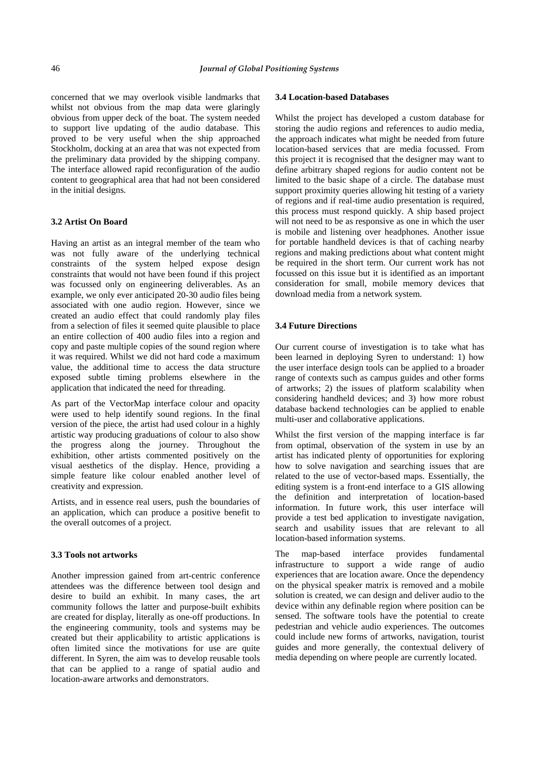concerned that we may overlook visible landmarks that whilst not obvious from the map data were glaringly obvious from upper deck of the boat. The system needed to support live updating of the audio database. This proved to be very useful when the ship approached Stockholm, docking at an area that was not expected from the preliminary data provided by the shipping company. The interface allowed rapid reconfiguration of the audio content to geographical area that had not been considered in the initial designs.

# **3.2 Artist On Board**

Having an artist as an integral member of the team who was not fully aware of the underlying technical constraints of the system helped expose design constraints that would not have been found if this project was focussed only on engineering deliverables. As an example, we only ever anticipated 20-30 audio files being associated with one audio region. However, since we created an audio effect that could randomly play files from a selection of files it seemed quite plausible to place an entire collection of 400 audio files into a region and copy and paste multiple copies of the sound region where it was required. Whilst we did not hard code a maximum value, the additional time to access the data structure exposed subtle timing problems elsewhere in the application that indicated the need for threading.

As part of the VectorMap interface colour and opacity were used to help identify sound regions. In the final version of the piece, the artist had used colour in a highly artistic way producing graduations of colour to also show the progress along the journey. Throughout the exhibition, other artists commented positively on the visual aesthetics of the display. Hence, providing a simple feature like colour enabled another level of creativity and expression.

Artists, and in essence real users, push the boundaries of an application, which can produce a positive benefit to the overall outcomes of a project.

### **3.3 Tools not artworks**

Another impression gained from art-centric conference attendees was the difference between tool design and desire to build an exhibit. In many cases, the art community follows the latter and purpose-built exhibits are created for display, literally as one-off productions. In the engineering community, tools and systems may be created but their applicability to artistic applications is often limited since the motivations for use are quite different. In Syren, the aim was to develop reusable tools that can be applied to a range of spatial audio and location-aware artworks and demonstrators.

## **3.4 Location-based Databases**

Whilst the project has developed a custom database for storing the audio regions and references to audio media, the approach indicates what might be needed from future location-based services that are media focussed. From this project it is recognised that the designer may want to define arbitrary shaped regions for audio content not be limited to the basic shape of a circle. The database must support proximity queries allowing hit testing of a variety of regions and if real-time audio presentation is required, this process must respond quickly. A ship based project will not need to be as responsive as one in which the user is mobile and listening over headphones. Another issue for portable handheld devices is that of caching nearby regions and making predictions about what content might be required in the short term. Our current work has not focussed on this issue but it is identified as an important consideration for small, mobile memory devices that download media from a network system.

# **3.4 Future Directions**

Our current course of investigation is to take what has been learned in deploying Syren to understand: 1) how the user interface design tools can be applied to a broader range of contexts such as campus guides and other forms of artworks; 2) the issues of platform scalability when considering handheld devices; and 3) how more robust database backend technologies can be applied to enable multi-user and collaborative applications.

Whilst the first version of the mapping interface is far from optimal, observation of the system in use by an artist has indicated plenty of opportunities for exploring how to solve navigation and searching issues that are related to the use of vector-based maps. Essentially, the editing system is a front-end interface to a GIS allowing the definition and interpretation of location-based information. In future work, this user interface will provide a test bed application to investigate navigation, search and usability issues that are relevant to all location-based information systems.

The map-based interface provides fundamental infrastructure to support a wide range of audio experiences that are location aware. Once the dependency on the physical speaker matrix is removed and a mobile solution is created, we can design and deliver audio to the device within any definable region where position can be sensed. The software tools have the potential to create pedestrian and vehicle audio experiences. The outcomes could include new forms of artworks, navigation, tourist guides and more generally, the contextual delivery of media depending on where people are currently located.